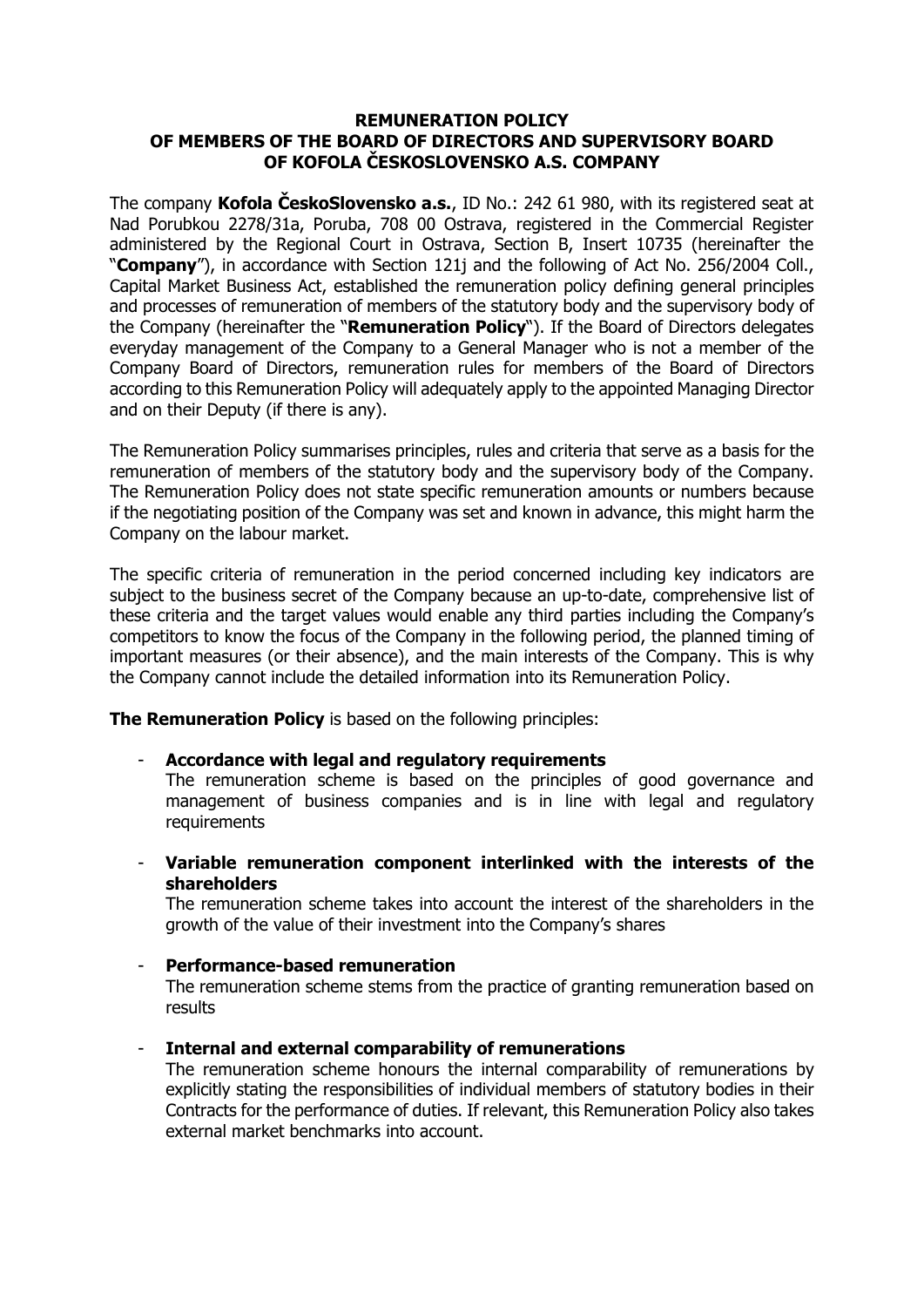## **REMUNERATION POLICY OF MEMBERS OF THE BOARD OF DIRECTORS AND SUPERVISORY BOARD OF KOFOLA ČESKOSLOVENSKO A.S. COMPANY**

The company **Kofola ČeskoSlovensko a.s.**, ID No.: 242 61 980, with its registered seat at Nad Porubkou 2278/31a, Poruba, 708 00 Ostrava, registered in the Commercial Register administered by the Regional Court in Ostrava, Section B, Insert 10735 (hereinafter the "**Company**"), in accordance with Section 121j and the following of Act No. 256/2004 Coll., Capital Market Business Act, established the remuneration policy defining general principles and processes of remuneration of members of the statutory body and the supervisory body of the Company (hereinafter the "**Remuneration Policy**"). If the Board of Directors delegates everyday management of the Company to a General Manager who is not a member of the Company Board of Directors, remuneration rules for members of the Board of Directors according to this Remuneration Policy will adequately apply to the appointed Managing Director and on their Deputy (if there is any).

The Remuneration Policy summarises principles, rules and criteria that serve as a basis for the remuneration of members of the statutory body and the supervisory body of the Company. The Remuneration Policy does not state specific remuneration amounts or numbers because if the negotiating position of the Company was set and known in advance, this might harm the Company on the labour market.

The specific criteria of remuneration in the period concerned including key indicators are subject to the business secret of the Company because an up-to-date, comprehensive list of these criteria and the target values would enable any third parties including the Company's competitors to know the focus of the Company in the following period, the planned timing of important measures (or their absence), and the main interests of the Company. This is why the Company cannot include the detailed information into its Remuneration Policy.

**The Remuneration Policy** is based on the following principles:

- **Accordance with legal and regulatory requirements**

The remuneration scheme is based on the principles of good governance and management of business companies and is in line with legal and regulatory requirements

- **Variable remuneration component interlinked with the interests of the shareholders**

The remuneration scheme takes into account the interest of the shareholders in the growth of the value of their investment into the Company's shares

### - **Performance-based remuneration**

The remuneration scheme stems from the practice of granting remuneration based on results

- **Internal and external comparability of remunerations**

The remuneration scheme honours the internal comparability of remunerations by explicitly stating the responsibilities of individual members of statutory bodies in their Contracts for the performance of duties. If relevant, this Remuneration Policy also takes external market benchmarks into account.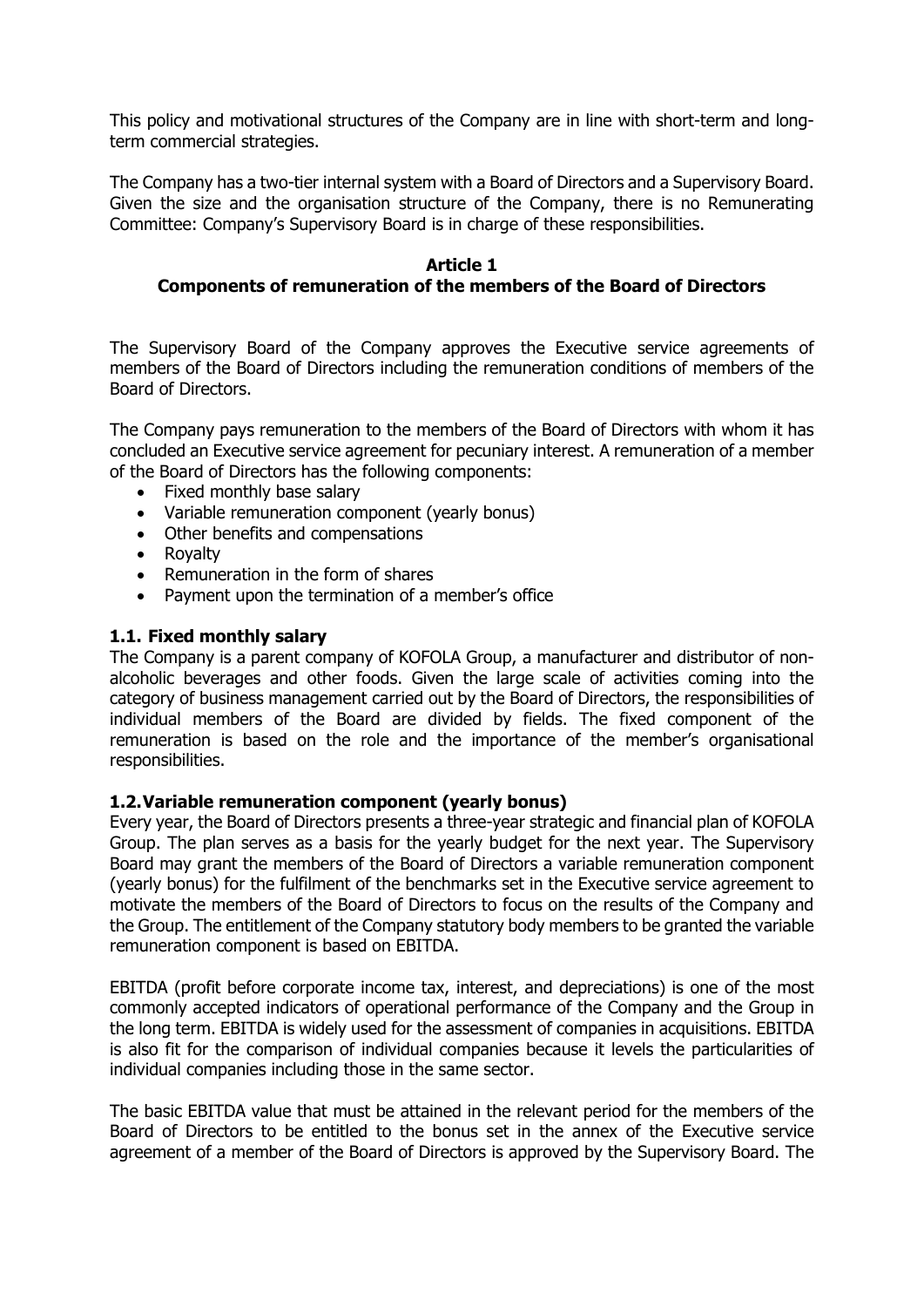This policy and motivational structures of the Company are in line with short-term and longterm commercial strategies.

The Company has a two-tier internal system with a Board of Directors and a Supervisory Board. Given the size and the organisation structure of the Company, there is no Remunerating Committee: Company's Supervisory Board is in charge of these responsibilities.

## **Article 1**

# **Components of remuneration of the members of the Board of Directors**

The Supervisory Board of the Company approves the Executive service agreements of members of the Board of Directors including the remuneration conditions of members of the Board of Directors.

The Company pays remuneration to the members of the Board of Directors with whom it has concluded an Executive service agreement for pecuniary interest. A remuneration of a member of the Board of Directors has the following components:

- Fixed monthly base salary
- Variable remuneration component (yearly bonus)
- Other benefits and compensations
- Rovalty
- Remuneration in the form of shares
- Payment upon the termination of a member's office

## **1.1. Fixed monthly salary**

The Company is a parent company of KOFOLA Group, a manufacturer and distributor of nonalcoholic beverages and other foods. Given the large scale of activities coming into the category of business management carried out by the Board of Directors, the responsibilities of individual members of the Board are divided by fields. The fixed component of the remuneration is based on the role and the importance of the member's organisational responsibilities.

### **1.2.Variable remuneration component (yearly bonus)**

Every year, the Board of Directors presents a three-year strategic and financial plan of KOFOLA Group. The plan serves as a basis for the yearly budget for the next year. The Supervisory Board may grant the members of the Board of Directors a variable remuneration component (yearly bonus) for the fulfilment of the benchmarks set in the Executive service agreement to motivate the members of the Board of Directors to focus on the results of the Company and the Group. The entitlement of the Company statutory body members to be granted the variable remuneration component is based on EBITDA.

EBITDA (profit before corporate income tax, interest, and depreciations) is one of the most commonly accepted indicators of operational performance of the Company and the Group in the long term. EBITDA is widely used for the assessment of companies in acquisitions. EBITDA is also fit for the comparison of individual companies because it levels the particularities of individual companies including those in the same sector.

The basic EBITDA value that must be attained in the relevant period for the members of the Board of Directors to be entitled to the bonus set in the annex of the Executive service agreement of a member of the Board of Directors is approved by the Supervisory Board. The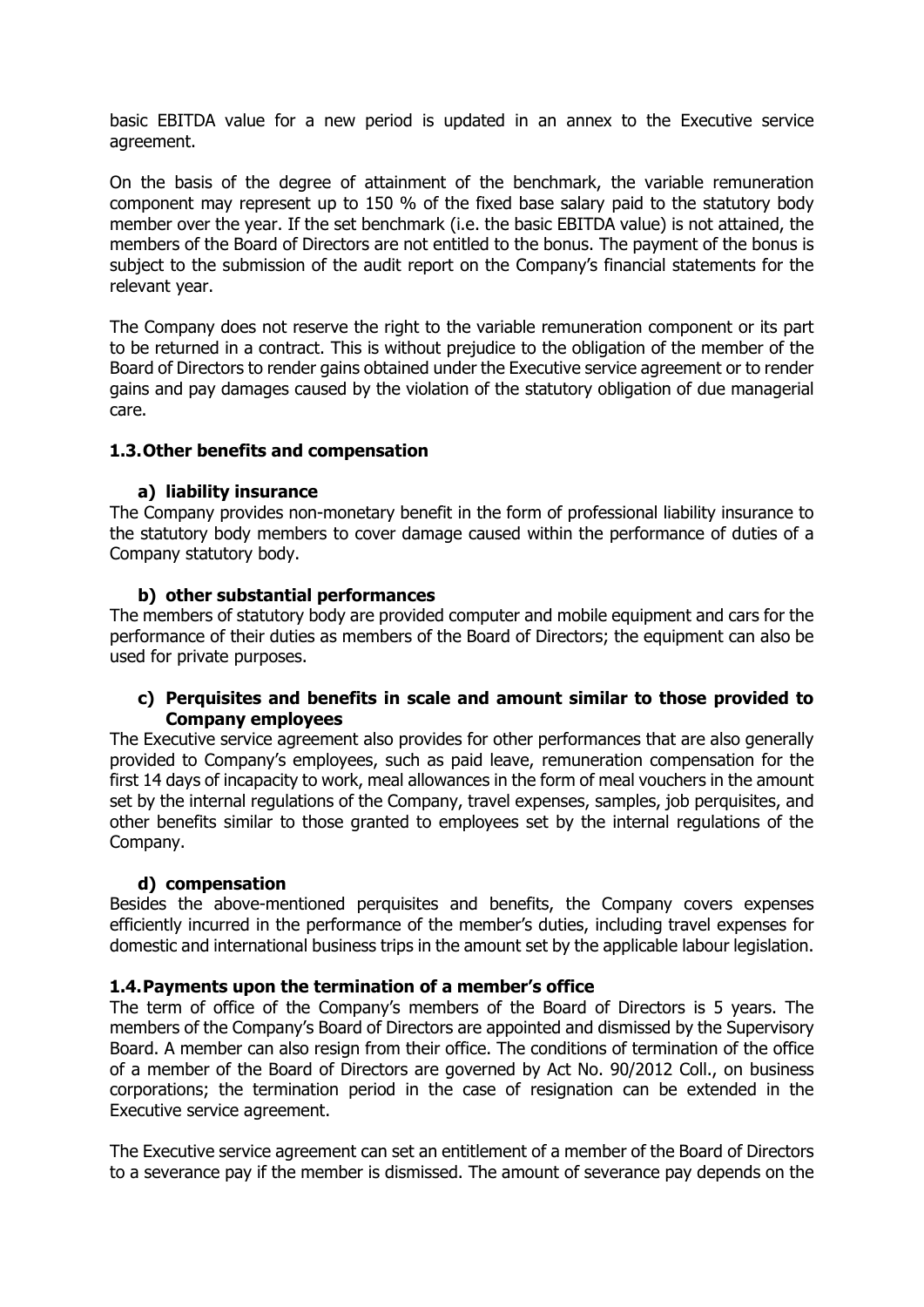basic EBITDA value for a new period is updated in an annex to the Executive service agreement.

On the basis of the degree of attainment of the benchmark, the variable remuneration component may represent up to 150 % of the fixed base salary paid to the statutory body member over the year. If the set benchmark (i.e. the basic EBITDA value) is not attained, the members of the Board of Directors are not entitled to the bonus. The payment of the bonus is subject to the submission of the audit report on the Company's financial statements for the relevant year.

The Company does not reserve the right to the variable remuneration component or its part to be returned in a contract. This is without prejudice to the obligation of the member of the Board of Directors to render gains obtained under the Executive service agreement or to render gains and pay damages caused by the violation of the statutory obligation of due managerial care.

## **1.3.Other benefits and compensation**

### **a) liability insurance**

The Company provides non-monetary benefit in the form of professional liability insurance to the statutory body members to cover damage caused within the performance of duties of a Company statutory body.

## **b) other substantial performances**

The members of statutory body are provided computer and mobile equipment and cars for the performance of their duties as members of the Board of Directors; the equipment can also be used for private purposes.

## **c) Perquisites and benefits in scale and amount similar to those provided to Company employees**

The Executive service agreement also provides for other performances that are also generally provided to Company's employees, such as paid leave, remuneration compensation for the first 14 days of incapacity to work, meal allowances in the form of meal vouchers in the amount set by the internal regulations of the Company, travel expenses, samples, job perquisites, and other benefits similar to those granted to employees set by the internal regulations of the Company.

### **d) compensation**

Besides the above-mentioned perquisites and benefits, the Company covers expenses efficiently incurred in the performance of the member's duties, including travel expenses for domestic and international business trips in the amount set by the applicable labour legislation.

### **1.4.Payments upon the termination of a member's office**

The term of office of the Company's members of the Board of Directors is 5 years. The members of the Company's Board of Directors are appointed and dismissed by the Supervisory Board. A member can also resign from their office. The conditions of termination of the office of a member of the Board of Directors are governed by Act No. 90/2012 Coll., on business corporations; the termination period in the case of resignation can be extended in the Executive service agreement.

The Executive service agreement can set an entitlement of a member of the Board of Directors to a severance pay if the member is dismissed. The amount of severance pay depends on the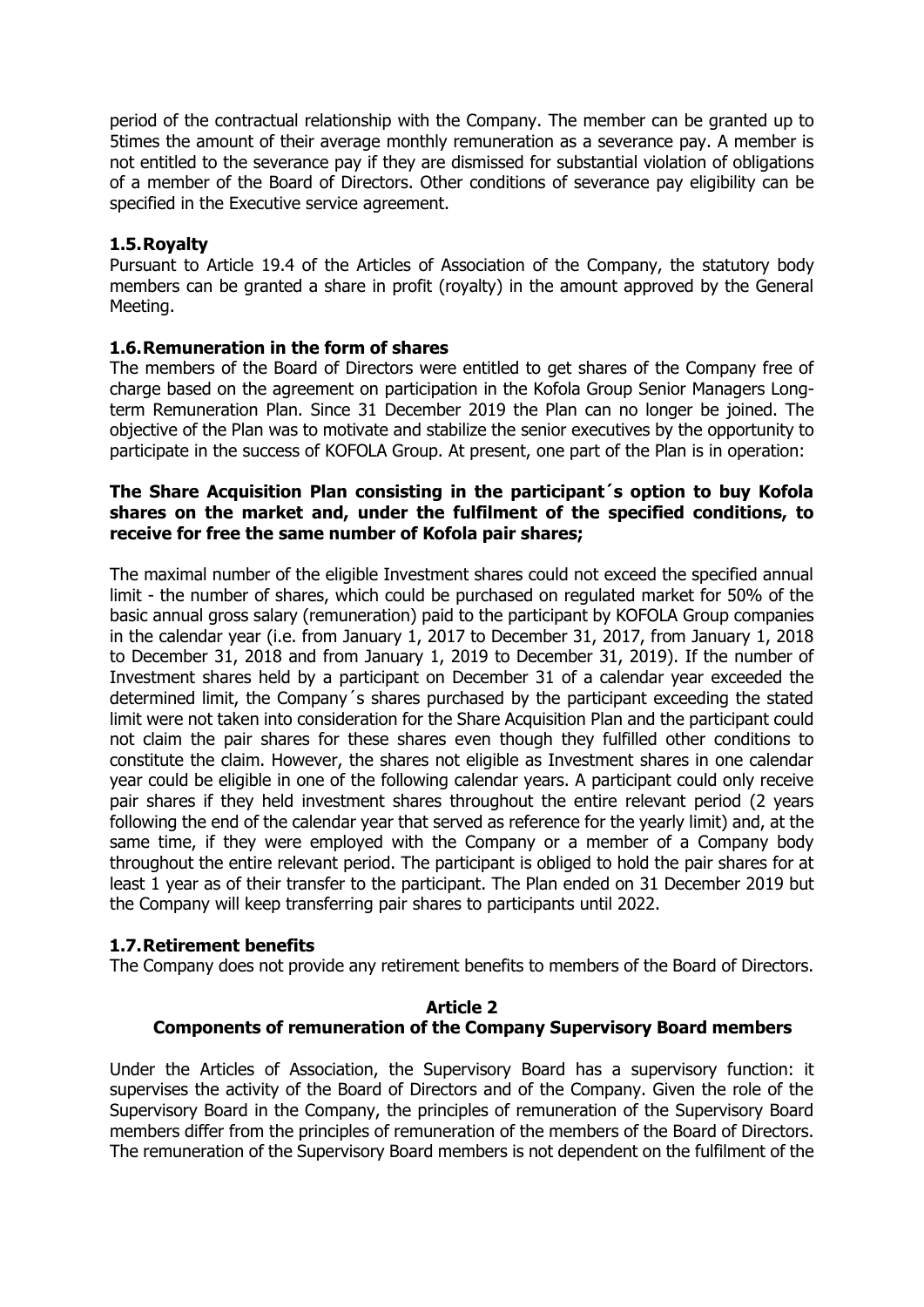period of the contractual relationship with the Company. The member can be granted up to 5times the amount of their average monthly remuneration as a severance pay. A member is not entitled to the severance pay if they are dismissed for substantial violation of obligations of a member of the Board of Directors. Other conditions of severance pay eligibility can be specified in the Executive service agreement.

### **1.5.Royalty**

Pursuant to Article 19.4 of the Articles of Association of the Company, the statutory body members can be granted a share in profit (royalty) in the amount approved by the General Meeting.

# **1.6.Remuneration in the form of shares**

The members of the Board of Directors were entitled to get shares of the Company free of charge based on the agreement on participation in the Kofola Group Senior Managers Longterm Remuneration Plan. Since 31 December 2019 the Plan can no longer be joined. The objective of the Plan was to motivate and stabilize the senior executives by the opportunity to participate in the success of KOFOLA Group. At present, one part of the Plan is in operation:

## **The Share Acquisition Plan consisting in the participant´s option to buy Kofola shares on the market and, under the fulfilment of the specified conditions, to receive for free the same number of Kofola pair shares;**

The maximal number of the eligible Investment shares could not exceed the specified annual limit - the number of shares, which could be purchased on regulated market for 50% of the basic annual gross salary (remuneration) paid to the participant by KOFOLA Group companies in the calendar year (i.e. from January 1, 2017 to December 31, 2017, from January 1, 2018 to December 31, 2018 and from January 1, 2019 to December 31, 2019). If the number of Investment shares held by a participant on December 31 of a calendar year exceeded the determined limit, the Company´s shares purchased by the participant exceeding the stated limit were not taken into consideration for the Share Acquisition Plan and the participant could not claim the pair shares for these shares even though they fulfilled other conditions to constitute the claim. However, the shares not eligible as Investment shares in one calendar year could be eligible in one of the following calendar years. A participant could only receive pair shares if they held investment shares throughout the entire relevant period (2 years following the end of the calendar year that served as reference for the yearly limit) and, at the same time, if they were employed with the Company or a member of a Company body throughout the entire relevant period. The participant is obliged to hold the pair shares for at least 1 year as of their transfer to the participant. The Plan ended on 31 December 2019 but the Company will keep transferring pair shares to participants until 2022.

# **1.7.Retirement benefits**

The Company does not provide any retirement benefits to members of the Board of Directors.

### **Article 2 Components of remuneration of the Company Supervisory Board members**

Under the Articles of Association, the Supervisory Board has a supervisory function: it supervises the activity of the Board of Directors and of the Company. Given the role of the Supervisory Board in the Company, the principles of remuneration of the Supervisory Board members differ from the principles of remuneration of the members of the Board of Directors. The remuneration of the Supervisory Board members is not dependent on the fulfilment of the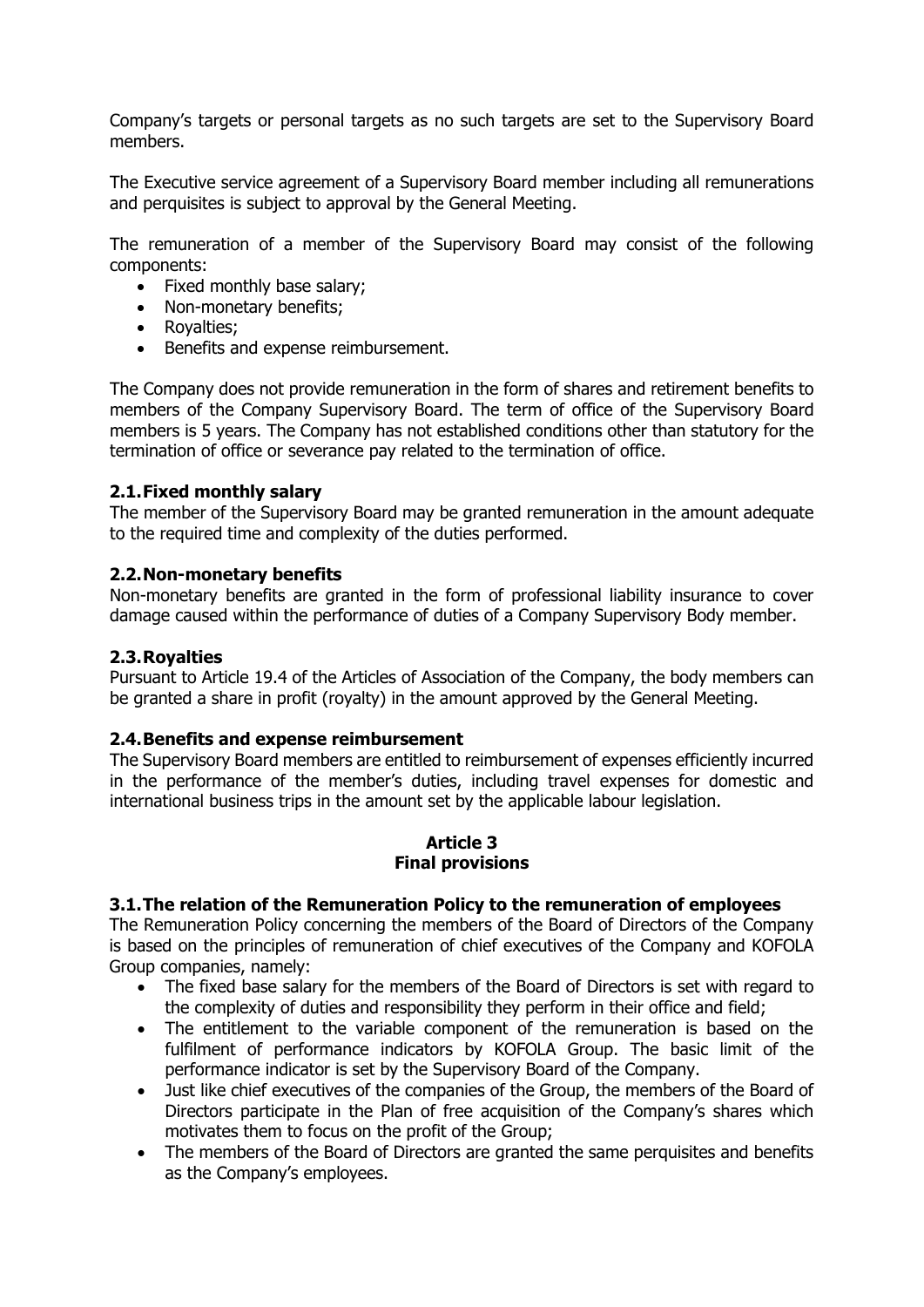Company's targets or personal targets as no such targets are set to the Supervisory Board members.

The Executive service agreement of a Supervisory Board member including all remunerations and perquisites is subject to approval by the General Meeting.

The remuneration of a member of the Supervisory Board may consist of the following components:

- Fixed monthly base salary;
- Non-monetary benefits;
- Royalties;
- Benefits and expense reimbursement.

The Company does not provide remuneration in the form of shares and retirement benefits to members of the Company Supervisory Board. The term of office of the Supervisory Board members is 5 years. The Company has not established conditions other than statutory for the termination of office or severance pay related to the termination of office.

### **2.1.Fixed monthly salary**

The member of the Supervisory Board may be granted remuneration in the amount adequate to the required time and complexity of the duties performed.

#### **2.2.Non-monetary benefits**

Non-monetary benefits are granted in the form of professional liability insurance to cover damage caused within the performance of duties of a Company Supervisory Body member.

### **2.3.Royalties**

Pursuant to Article 19.4 of the Articles of Association of the Company, the body members can be granted a share in profit (royalty) in the amount approved by the General Meeting.

### **2.4.Benefits and expense reimbursement**

The Supervisory Board members are entitled to reimbursement of expenses efficiently incurred in the performance of the member's duties, including travel expenses for domestic and international business trips in the amount set by the applicable labour legislation.

### **Article 3 Final provisions**

### **3.1.The relation of the Remuneration Policy to the remuneration of employees**

The Remuneration Policy concerning the members of the Board of Directors of the Company is based on the principles of remuneration of chief executives of the Company and KOFOLA Group companies, namely:

- The fixed base salary for the members of the Board of Directors is set with regard to the complexity of duties and responsibility they perform in their office and field;
- The entitlement to the variable component of the remuneration is based on the fulfilment of performance indicators by KOFOLA Group. The basic limit of the performance indicator is set by the Supervisory Board of the Company.
- Just like chief executives of the companies of the Group, the members of the Board of Directors participate in the Plan of free acquisition of the Company's shares which motivates them to focus on the profit of the Group;
- The members of the Board of Directors are granted the same perquisites and benefits as the Company's employees.